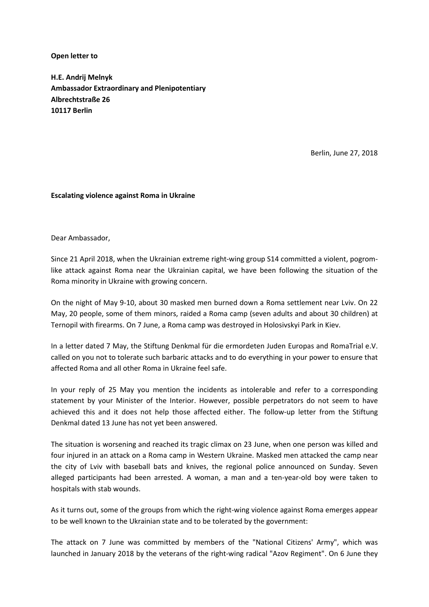Open letter to

H.E. Andrij Melnyk Ambassador Extraordinary and Plenipotentiary Albrechtstraße 26 10117 Berlin

Berlin, June 27, 2018

## Escalating violence against Roma in Ukraine

Dear Ambassador,

Since 21 April 2018, when the Ukrainian extreme right-wing group S14 committed a violent, pogromlike attack against Roma near the Ukrainian capital, we have been following the situation of the Roma minority in Ukraine with growing concern.

On the night of May 9-10, about 30 masked men burned down a Roma settlement near Lviv. On 22 May, 20 people, some of them minors, raided a Roma camp (seven adults and about 30 children) at Ternopil with firearms. On 7 June, a Roma camp was destroyed in Holosivskyi Park in Kiev.

In a letter dated 7 May, the Stiftung Denkmal für die ermordeten Juden Europas and RomaTrial e.V. called on you not to tolerate such barbaric attacks and to do everything in your power to ensure that affected Roma and all other Roma in Ukraine feel safe.

In your reply of 25 May you mention the incidents as intolerable and refer to a corresponding statement by your Minister of the Interior. However, possible perpetrators do not seem to have achieved this and it does not help those affected either. The follow-up letter from the Stiftung Denkmal dated 13 June has not yet been answered.

The situation is worsening and reached its tragic climax on 23 June, when one person was killed and four injured in an attack on a Roma camp in Western Ukraine. Masked men attacked the camp near the city of Lviv with baseball bats and knives, the regional police announced on Sunday. Seven alleged participants had been arrested. A woman, a man and a ten-year-old boy were taken to hospitals with stab wounds.

As it turns out, some of the groups from which the right-wing violence against Roma emerges appear to be well known to the Ukrainian state and to be tolerated by the government:

The attack on 7 June was committed by members of the "National Citizens' Army", which was launched in January 2018 by the veterans of the right-wing radical "Azov Regiment". On 6 June they